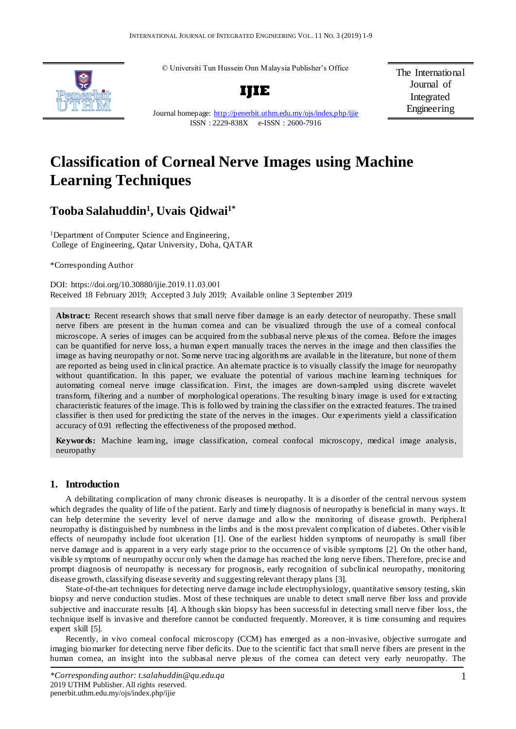© Universiti Tun Hussein Onn Malaysia Publisher's Office



**IJIE**

The International Journal of Integrated Engineering

Journal homepage:<http://penerbit.uthm.edu.my/ojs/index.php/ijie> ISSN : 2229-838X e-ISSN : 2600-7916

# **Classification of Corneal Nerve Images using Machine Learning Techniques**

## **Tooba Salahuddin<sup>1</sup> , Uvais Qidwai1\***

<sup>1</sup>Department of Computer Science and Engineering, College of Engineering, Qatar University, Doha, QATAR

\*Corresponding Author

DOI: https://doi.org/10.30880/ijie.2019.11.03.001 Received 18 February 2019; Accepted 3 July 2019; Available online 3 September 2019

**Abstract:** Recent research shows that small nerve fiber damage is an early detector of neuropathy. These small nerve fibers are present in the human cornea and can be visualized through the use of a corneal confocal microscope. A series of images can be acquired from the subbasal nerve plexus of the cornea. Before the images can be quantified for nerve loss, a human expert manually traces the nerves in the image and then classifies the image as having neuropathy or not. Some nerve tracing algorithms are available in the literature, but none of them are reported as being used in clinical practice. An alternate practice is to visually classify the image for neuropathy without quantification. In this paper, we evaluate the potential of various machine learning techniques for automating corneal nerve image classification. First, the images are down-sampled using discrete wavelet transform, filtering and a number of morphological operations. The resulting binary image is used for extracting characteristic features of the image. This is followed by training the classifier on the extracted features. The trained classifier is then used for predicting the state of the nerves in the images. Our experiments yield a classification accuracy of 0.91 reflecting the effectiveness of the proposed method.

**Keywords:** Machine learn ing, image classification, corneal confocal microscopy, medical image analysis, neuropathy

## **1. Introduction**

A debilitating complication of many chronic diseases is neuropathy. It is a disorder of the central nervous system which degrades the quality of life of the patient. Early and timely diagnosis of neuropathy is beneficial in many ways. It can help determine the severity level of nerve damage and allow the monitoring of disease growth. Peripheral neuropathy is distinguished by numbness in the limbs and is the most prevalent complication of diabetes. Other visible effects of neuropathy include foot ulceration [1]. One of the earliest hidden symptoms of neuropathy is small fiber nerve damage and is apparent in a very early stage prior to the occurrence of visible symptoms [2]. On the other hand, visible symptoms of neuropathy occur only when the damage has reached the long nerve fibers. Therefore, precise and prompt diagnosis of neuropathy is necessary for prognosis, early recognition of subclinical neuropathy, monitoring disease growth, classifying disease severity and suggesting relevant therapy plans [3].

State-of-the-art techniques for detecting nerve damage include electrophysiology, quantitative sensory testing, skin biopsy and nerve conduction studies. Most of these techniques are unable to detect small nerve fiber loss and provide subjective and inaccurate results [4]. Although skin biopsy has been successful in detecting small nerve fiber loss, the technique itself is invasive and therefore cannot be conducted frequently. Moreover, it is time consuming and requires expert skill [5].

Recently, in vivo corneal confocal microscopy (CCM) has emerged as a non -invasive, objective surrogate and imaging biomarker for detecting nerve fiber deficits. Due to the scientific fact that small nerve fibers are present in the human cornea, an insight into the subbasal nerve plexus of the cornea can detect very early neuropathy. The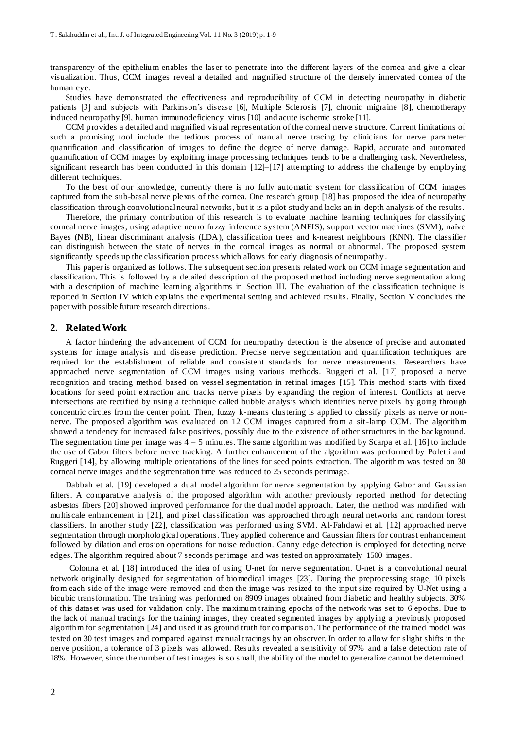transparency of the epithelium enables the laser to penetrate into the different layers of the cornea and give a clear visualization. Thus, CCM images reveal a detailed and magnified structure of the densely innervated cornea of the human eye.

Studies have demonstrated the effectiveness and reproducibility of CCM in detecting neuropathy in diabetic patients [3] and subjects with Parkinson's disease [6], Multiple Sclerosis [7], chronic migraine [8], chemotherapy induced neuropathy [9], human immunodeficiency virus [10] and acute ischemic stroke [11].

CCM provides a detailed and magnified visual representation of the corneal nerve structure. Current limitations of such a promising tool include the tedious process of manual nerve tracing by clinicians for nerve parameter quantification and classification of images to define the degree of nerve damage. Rapid, accurate and automated quantification of CCM images by exploiting image processing techniques tends to be a challenging task. Nevertheless, significant research has been conducted in this domain [12]–[17] attempting to address the challenge by employing different techniques.

To the best of our knowledge, currently there is no fully automatic system for classification of CCM images captured from the sub-basal nerve plexus of the cornea. One research group [18] has proposed the idea of neuropathy classification through convolutional neural networks, but it is a pilot study and lacks an in -depth analysis of the results.

Therefore, the primary contribution of this research is to evaluate machine learning techniques for classifying corneal nerve images, using adaptive neuro fuzzy inference system (ANFIS), support vector machines (SVM), naïve Bayes (NB), linear discriminant analysis (LDA), classification trees and k-nearest neighbours (KNN). The classifier can distinguish between the state of nerves in the corneal images as normal or abnormal. The proposed system significantly speeds up the classification process which allows for early diagnosis of neuropathy .

This paper is organized as follows. The subsequent section presents related work on CCM image segmentation and classification. This is followed by a detailed description of the proposed method including nerve segmentation along with a description of machine learning algorithms in Section III. The evaluation of the classification technique is reported in Section IV which explains the experimental setting and achieved results. Finally, Section V concludes the paper with possible future research directions.

#### **2. Related Work**

A factor hindering the advancement of CCM for neuropathy detection is the absence of precise and automated systems for image analysis and disease prediction. Precise nerve segmentation and quantification techniques are required for the establishment of reliable and consistent standards for nerve measurements. Researchers have approached nerve segmentation of CCM images using various methods. Ruggeri et al. [17] proposed a nerve recognition and tracing method based on vessel segmentation in retinal images [15]. This method starts with fixed locations for seed point extraction and tracks nerve pixels by expanding the region of interest. Conflicts at nerve intersections are rectified by using a technique called bubble analysis which identifies nerve pixels by going through concentric circles from the center point. Then, fuzzy k-means clustering is applied to classify pixels as nerve or nonnerve. The proposed algorithm was evaluated on 12 CCM images captured from a sit-lamp CCM. The algorithm showed a tendency for increased false positives, possibly due to the existence of other structures in the background. The segmentation time per image was 4 – 5 minutes. The same algorithm was modified by Scarpa et al. [16] to include the use of Gabor filters before nerve tracking. A further enhancement of the algorithm was performed by Poletti and Ruggeri [14], by allowing multiple orientations of the lines for seed points extraction. The algorithm was tested on 30 corneal nerve images and the segmentation time was reduced to 25 seconds per image.

Dabbah et al. [19] developed a dual model algorithm for nerve segmentation by applying Gabor and Gaussian filters. A comparative analysis of the proposed algorithm with another previously reported method for detecting asbestos fibers [20] showed improved performance for the dual model approach. Later, the method was modified with multiscale enhancement in [21], and pixel classification was approached through neural networks and random forest classifiers. In another study [22], classification was performed using SVM. Al-Fahdawi et al. [12] approached nerve segmentation through morphological operations. They applied coherence and Gaussian filters for contrast enhancement followed by dilation and erosion operations for noise reduction. Canny edge detection is employed for detecting nerve edges. The algorithm required about 7 seconds per image and was tested on approximately 1500 images.

Colonna et al. [18] introduced the idea of using U-net for nerve segmentation. U-net is a convolutional neural network originally designed for segmentation of biomedical images [23]. During the preprocessing stage, 10 pixels from each side of the image were removed and then the image was resized to the input size required by U-Net using a bicubic transformation. The training was performed on 8909 images obtained from diabetic and healthy subjects. 30% of this dataset was used for validation only. The maximum training epochs of the network was set to 6 epochs. Due to the lack of manual tracings for the training images, they created segmented images by applying a previously proposed algorithm for segmentation [24] and used it as ground truth for comparison. The performance of the trained model was tested on 30 test images and compared against manual tracings by an observer. In order to allow for slight shifts in the nerve position, a tolerance of 3 pixels was allowed. Results revealed a sensitivity of 97% and a false detection rate of 18%. However, since the number of test images is so small, the ability of the model to generalize cannot be determined.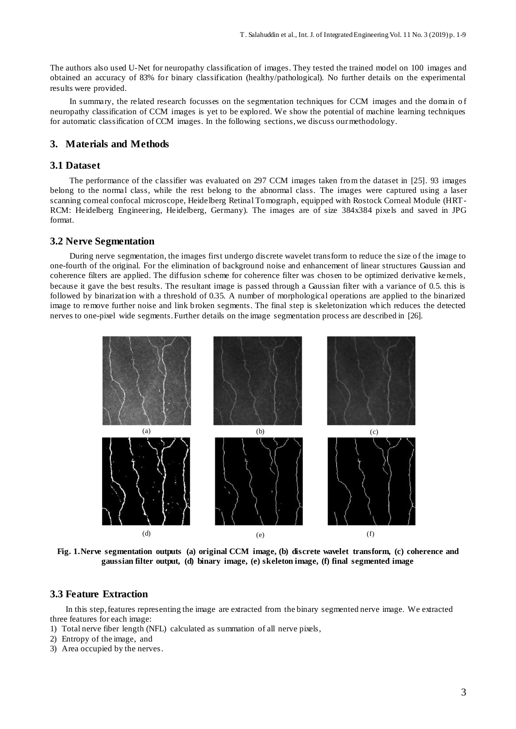The authors also used U-Net for neuropathy classification of images. They tested the trained model on 100 images and obtained an accuracy of 83% for binary classification (healthy/pathological). No further details on the experimental results were provided.

In summary, the related research focusses on the segmentation techniques for CCM images and the domain of neuropathy classification of CCM images is yet to be explored. We show the potential of machine learning techniques for automatic classification of CCM images. In the following sections, we discuss our methodology.

## **3. Materials and Methods**

## **3.1 Dataset**

The performance of the classifier was evaluated on 297 CCM images taken from the dataset in [25]. 93 images belong to the normal class, while the rest belong to the abnormal class. The images were captured using a laser scanning corneal confocal microscope, Heidelberg Retinal Tomograph, equipped with Rostock Corneal Module (HRT-RCM: Heidelberg Engineering, Heidelberg, Germany). The images are of size 384x384 pixels and saved in JPG format.

#### **3.2 Nerve Segmentation**

During nerve segmentation, the images first undergo discrete wavelet transform to reduce the size of the image to one-fourth of the original. For the elimination of background noise and enhancement of linear structures Gaussian and coherence filters are applied. The diffusion scheme for coherence filter was chosen to be optimized derivative kernels, because it gave the best results. The resultant image is passed through a Gaussian filter with a variance of 0.5. this is followed by binarization with a threshold of 0.35. A number of morphological operations are applied to the binarized image to remove further noise and link broken segments. The final step is skeletonization which reduces the detected nerves to one-pixel wide segments. Further details on the image segmentation process are described in [26].



**Fig. 1.Nerve segmentation outputs (a) original CCM image, (b) discrete wavelet transform, (c) coherence and gaussian filter output, (d) binary image, (e) skeleton image, (f) final segmented image**

## **3.3 Feature Extraction**

In this step, features representing the image are extracted from the binary segmented nerve image. We extracted three features for each image:

- 1) Total nerve fiber length (NFL) calculated as summation of all nerve pixels,
- 2) Entropy of the image, and
- 3) Area occupied by the nerves.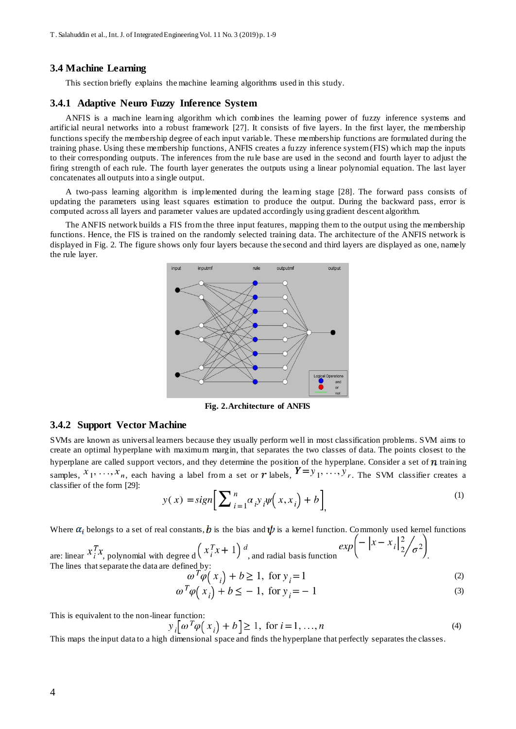#### **3.4 Machine Learning**

This section briefly explains the machine learning algorithms used in this study.

### **3.4.1 Adaptive Neuro Fuzzy Inference System**

ANFIS is a machine learning algorithm which combines the learning power of fuzzy inference systems and artificial neural networks into a robust framework [27]. It consists of five layers. In the first layer, the membership functions specify the membership degree of each input variable. These membership functions are formulated during the training phase. Using these membership functions, ANFIS creates a fuzzy inference system (FIS) which map the inputs to their corresponding outputs. The inferences from the rule base are used in the second and fourth layer to adjust the firing strength of each rule. The fourth layer generates the outputs using a linear polynomial equation. The last layer concatenates all outputs into a single output.

A two-pass learning algorithm is implemented during the learning stage [28]. The forward pass consists of updating the parameters using least squares estimation to produce the output. During the backward pass, error is computed across all layers and parameter values are updated accordingly using gradient descent algorithm.

The ANFIS network builds a FIS from the three input features, mapping them to the output using the membership functions. Hence, the FIS is trained on the randomly selected training data. The architecture of the ANFIS network is displayed in Fig. 2. The figure shows only four layers because the second and third layers are displayed as one, namely the rule layer.



**Fig. 2.Architecture of ANFIS**

## **3.4.2 Support Vector Machine**

SVMs are known as universal learners because they usually perform well in most classification problems. SVM aims to create an optimal hyperplane with maximum margin, that separates the two classes of data. The points closest to the hyperplane are called support vectors, and they determine the position of the hyperplane. Consider a set of  $n$  training samples,  $x_1, \ldots, x_n$ , each having a label from a set or r labels,  $1 - y_1, \ldots, y_r$ . The SVM classifier creates a classifier of the form [29]:

$$
y(x) = sign\left[\sum_{i=1}^{n} \alpha_i y_i \psi(x, x_i) + b\right],
$$
\n<sup>(1)</sup>

Where  $\alpha_i$  belongs to a set of real constants, b is the bias and  $\psi$  is a kernel function. Commonly used kernel functions

are: linear 
$$
x_i^T x
$$
, polynomial with degree d  $\left(x_i^T x + 1\right)^d$ , and radial basis function  
The lines that separate the data are defined by:  

$$
\exp\left(-\left|x - x_i\right|_2^2 / \sigma^2\right)
$$

$$
\omega^1 \varphi(x_i) + b \ge 1, \text{ for } y_i = 1 \tag{2}
$$

$$
\omega^T \varphi \left( x_i \right) + b \le -1, \text{ for } y_i = -1 \tag{3}
$$

This is equivalent to the non-linear function:

$$
y_i[\omega^T \varphi(x_i) + b] \ge 1, \text{ for } i = 1, ..., n
$$
\n<sup>(4)</sup>

This maps the input data to a high dimensional space and finds the hyperplane that perfectly separates the classes.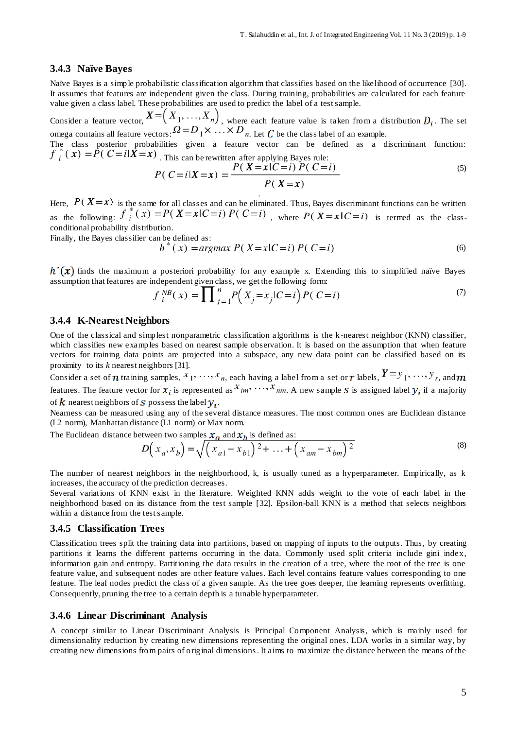#### **3.4.3 Naïve Bayes**

Naïve Bayes is a simple probabilistic classification algorithm that classifies based on the likelihood of occurrence [30]. It assumes that features are independent given the class. During training, probabilities are calculated for each feature value given a class label. These probabilities are used to predict the label of a test sample.

Consider a feature vector,  $\cdots$ ,  $\cdots$ ,  $\cdots$ ,  $\cdots$ , where each feature value is taken from a distribution  $D_i$ . The set omega contains all feature vectors:  $2^2 - D_1 \wedge \cdots \wedge D_n$ . Let C be the class label of an example.

The class posterior probabilities given a feature vector can be defined as a discriminant function:  $\hat{f}_i^*(x) = \hat{P}(C = i|\hat{X} = x)$ . This can be rewritten after applying Bayes rule:

$$
P(C=i|X=x) = \frac{P(X=x|C=i) P(C=i)}{P(X=x)}
$$
\n(5)

Here,  $P(X = x)$  is the same for all classes and can be eliminated. Thus, Bayes discriminant functions can be written as the following:  $f_i^*(x) = P(X=x|C=i) P(C=i)$ , where  $P(X=x|C=i)$  is termed as the classconditional probability distribution.

.

Finally, the Bayes classifier can be defined as:

$$
h^*(x) = \text{argmax } P(X = x | C = i) P(C = i)
$$
\n(6)

 $h^*(x)$  finds the maximum a posteriori probability for any example x. Extending this to simplified naïve Bayes assumption that features are independent given class, we get the following form:

$$
f_i^{NB}(x) = \prod_{j=1}^n P(X_j = x_j | C = i) P(C = i)
$$
 (7)

#### **3.4.4 K-Nearest Neighbors**

One of the classical and simplest nonparametric classification algorithms is the k -nearest neighbor (KNN) classifier, which classifies new examples based on nearest sample observation. It is based on the assumption that when feature vectors for training data points are projected into a subspace, any new data point can be classified based on its proximity to its *k* nearest neighbors [31].

Consider a set of *n* training samples,  $x_1, \ldots, x_n$ , each having a label from a set or *n* labels,  $Y = y_1, \ldots, y_r$ , and *m* features. The feature vector for  $x_i$  is represented as  $x_{im}$ ,  $\dots$ ,  $x_{nm}$ . A new sample *S* is assigned label  $y_i$  if a majority of k nearest neighbors of S possess the label  $y_i$ .

Nearness can be measured using any of the several distance measures. The most common ones are Euclidean distance (L2 norm), Manhattan distance (L1 norm) or Max norm.

The Euclidean distance between two samples  $x_a$  and  $x_b$  is defined as:

$$
D(x_a, x_b) = \sqrt{(x_{a1} - x_{b1})^2 + \dots + (x_{am} - x_{bm})^2}
$$
 (8)

The number of nearest neighbors in the neighborhood, k, is usually tuned as a hyperparameter. Empirically, as k increases, the accuracy of the prediction decreases.

Several variations of KNN exist in the literature. Weighted KNN adds weight to the vote of each label in the neighborhood based on its distance from the test sample [32]. Epsilon-ball KNN is a method that selects neighbors within a distance from the test sample.

## **3.4.5 Classification Trees**

Classification trees split the training data into partitions, based on mapping of inputs to the outputs. Thus, by creating partitions it learns the different patterns occurring in the data. Commonly used split criteria include gini index, information gain and entropy. Partitioning the data results in the creation of a tree, where the root of the tree is one feature value, and subsequent nodes are other feature values. Each level contains feature values corresponding to one feature. The leaf nodes predict the class of a given sample. As the tree goes deeper, the learning represents overfitting. Consequently, pruning the tree to a certain depth is a tunable hyperparameter.

#### **3.4.6 Linear Discriminant Analysis**

A concept similar to Linear Discriminant Analysis is Principal Component Analysis, which is mainly used for dimensionality reduction by creating new dimensions representing the original ones. LDA works in a similar way, by creating new dimensions from pairs of original dimensions. It aims to maximize the distance between the means of the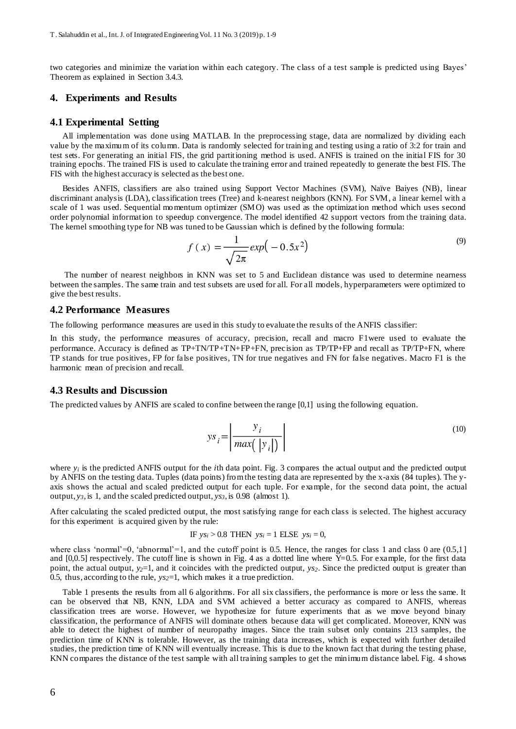two categories and minimize the variation within each category. The class of a test sample is predicted using Bayes' Theorem as explained in Section 3.4.3.

## **4. Experiments and Results**

#### **4.1 Experimental Setting**

All implementation was done using MATLAB. In the preprocessing stage, data are normalized by dividing each value by the maximum of its column. Data is randomly selected for training and testing using a ratio of 3:2 for train and test sets. For generating an initial FIS, the grid partitioning method is used. ANFIS is trained on the initial FIS for 30 training epochs. The trained FIS is used to calculate the training error and trained repeatedly to generate the best FIS. The FIS with the highest accuracy is selected as the best one.

Besides ANFIS, classifiers are also trained using Support Vector Machines (SVM), Naïve Baiyes (NB), linear discriminant analysis (LDA), classification trees (Tree) and k-nearest neighbors (KNN). For SVM, a linear kernel with a scale of 1 was used. Sequential momentum optimizer (SMO) was used as the optimization method which uses second order polynomial information to speedup convergence. The model identified 42 support vectors from the training data. The kernel smoothing type for NB was tuned to be Gaussian which is defined by the following formula:

$$
f(x) = \frac{1}{\sqrt{2\pi}} exp(-0.5x^2)
$$
 (9)

The number of nearest neighbors in KNN was set to 5 and Euclidean distance was used to determine nearness between the samples. The same train and test subsets are used for all. For all models, hyperparameters were optimized to give the best results.

#### **4.2 Performance Measures**

The following performance measures are used in this study to evaluate the results of the ANFIS classifier:

In this study, the performance measures of accuracy, precision, recall and macro F1were used to evaluate the performance. Accuracy is defined as TP+TN/TP+TN+FP+FN, precision as TP/TP+FP and recall as TP/TP+FN, where TP stands for true positives, FP for false positives, TN for true negatives and FN for false negatives. Macro F1 is the harmonic mean of precision and recall.

## **4.3 Results and Discussion**

The predicted values by ANFIS are scaled to confine between the range [0,1] using the following equation.

$$
ys_i = \left| \frac{y_i}{\max(|y_i|)} \right| \tag{10}
$$

where *y<sup>i</sup>* is the predicted ANFIS output for the *i*th data point. Fig. 3 compares the actual output and the predicted output by ANFIS on the testing data. Tuples (data points) from the testing data are represented by the x-axis (84 tuples). The yaxis shows the actual and scaled predicted output for each tuple. For example, for the second data point, the actual output, *y3*, is 1, and the scaled predicted output, *ys3*, is 0.98 (almost 1).

After calculating the scaled predicted output, the most satisfying range for each class is selected. The highest accuracy for this experiment is acquired given by the rule:

IF 
$$
ys_i > 0.8
$$
 THEN  $ys_i = 1$  ELSE  $ys_i = 0$ ,

where class 'normal'=0, 'abnormal'=1, and the cutoff point is 0.5. Hence, the ranges for class 1 and class 0 are  $(0.5,1]$ and  $[0,0.5]$  respectively. The cutoff line is shown in Fig. 4 as a dotted line where Y=0.5. For example, for the first data point, the actual output, *y2*=1, and it coincides with the predicted output, *ys2*. Since the predicted output is greater than 0.5, thus, according to the rule, *ys2*=1, which makes it a true prediction.

Table 1 presents the results from all 6 algorithms. For all six classifiers, the performance is more or less the same. It can be observed that NB, KNN, LDA and SVM achieved a better accuracy as compared to ANFIS, whereas classification trees are worse. However, we hypothesize for future experiments that as we move beyond binary classification, the performance of ANFIS will dominate others because data will get complicated. Moreover, KNN was able to detect the highest of number of neuropathy images. Since the train subset only contains 213 samples, the prediction time of KNN is tolerable. However, as the training data increases, which is expected with further detailed studies, the prediction time of KNN will eventually increase. This is due to the known fact that during the testing phase, KNN compares the distance of the test sample with all training samples to get the minimum distance label. Fig. 4 shows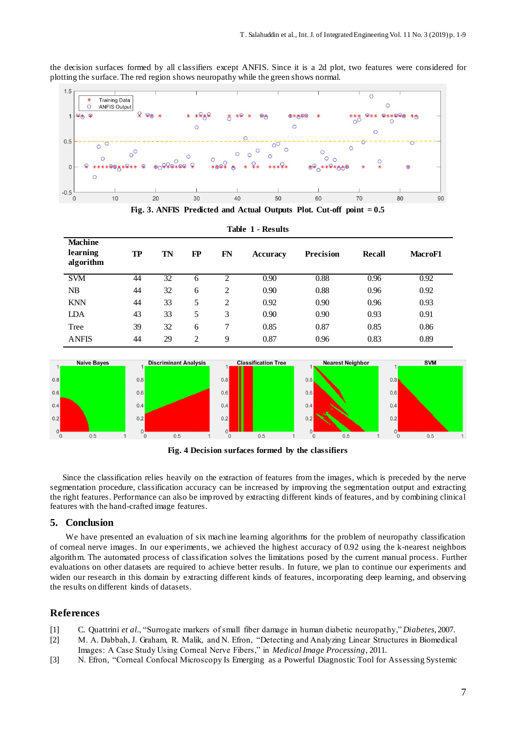the decision surfaces formed by all classifiers except ANFIS. Since it is a 2d plot, two features were considered for plotting the surface. The red region shows neuropathy while the green shows normal.



**Fig. 3. ANFIS Predicted and Actual Outputs Plot. Cut-off point = 0.5**

| <b>Machine</b><br>learning<br>algorithm | TP | TN | FP             | FN             | <b>Accuracy</b> | <b>Precision</b> | <b>Recall</b> | <b>MacroF1</b> |
|-----------------------------------------|----|----|----------------|----------------|-----------------|------------------|---------------|----------------|
| <b>SVM</b>                              | 44 | 32 | h              |                | 0.90            | 0.88             | 0.96          | 0.92           |
| NB                                      | 44 | 32 | 6              | 2              | 0.90            | 0.88             | 0.96          | 0.92           |
| <b>KNN</b>                              | 44 | 33 | 5              | $\overline{c}$ | 0.92            | 0.90             | 0.96          | 0.93           |
| LDA                                     | 43 | 33 | 5              | 3              | 0.90            | 0.90             | 0.93          | 0.91           |
| Tree                                    | 39 | 32 | 6              | 7              | 0.85            | 0.87             | 0.85          | 0.86           |
| <b>ANFIS</b>                            | 44 | 29 | $\overline{c}$ | $\mathbf Q$    | 0.87            | 0.96             | 0.83          | 0.89           |

**Table 1 - Results**



**Fig. 4 Decision surfaces formed by the classifiers**

Since the classification relies heavily on the extraction of features from the images, which is preceded by the nerve segmentation procedure, classification accuracy can be increased by improving the segmentation output and extracting the right features. Performance can also be improved by extracting different kinds of features, and by combining clinical features with the hand-crafted image features.

## **5. Conclusion**

We have presented an evaluation of six machine learning algorithms for the problem of neuropathy classification of corneal nerve images. In our experiments, we achieved the highest accuracy of 0.92 using the k-nearest neighbors algorithm. The automated process of classification solves the limitations posed by the current manual process. Further evaluations on other datasets are required to achieve better results. In future, we plan to continue our experiments and widen our research in this domain by extracting different kinds of features, incorporating deep learning, and observing the results on different kinds of datasets.

## **References**

- [1] C. Quattrini *et al.*, "Surrogate markers of small fiber damage in human diabetic neuropathy," *Diabetes*, 2007.
- [2] M. A. Dabbah, J. Graham, R. Malik, and N. Efron, "Detecting and Analyzing Linear Structures in Biomedical Images: A Case Study Using Corneal Nerve Fibers," in *Medical Image Processing*, 2011.
- [3] N. Efron, "Corneal Confocal Microscopy Is Emerging as a Powerful Diagnostic Tool for Assessing Systemic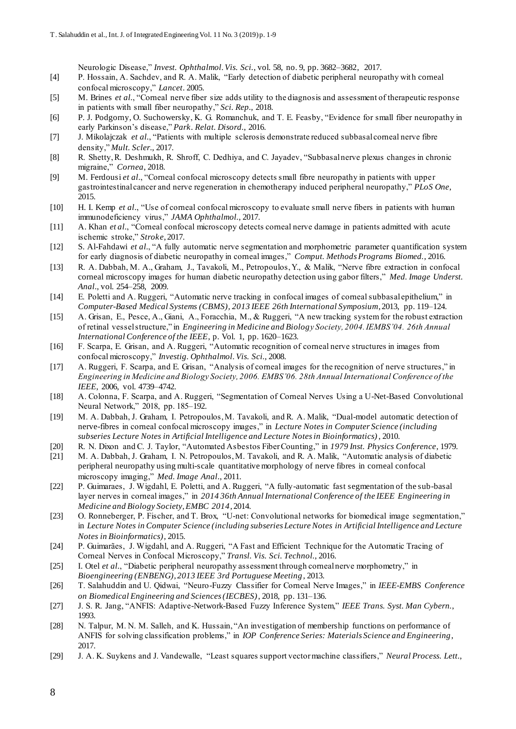Neurologic Disease," *Invest. Ophthalmol. Vis. Sci.*, vol. 58, no. 9, pp. 3682–3682, 2017.

- [4] P. Hossain, A. Sachdev, and R. A. Malik, "Early detection of diabetic peripheral neuropathy with corneal confocal microscopy," *Lancet*. 2005.
- [5] M. Brines *et al.*, "Corneal nerve fiber size adds utility to the diagnosis and assessment of therapeutic response in patients with small fiber neuropathy," *Sci. Rep.*, 2018.
- [6] P. J. Podgorny, O. Suchowersky, K. G. Romanchuk, and T. E. Feasby, "Evidence for small fiber neuropathy in early Parkinson's disease," *Park. Relat. Disord.*, 2016.
- [7] J. Mikolajczak *et al.*, "Patients with multiple sclerosis demonstrate reduced subbasal corneal nerve fibre density," *Mult. Scler.*, 2017.
- [8] R. Shetty, R. Deshmukh, R. Shroff, C. Dedhiya, and C. Jayadev, "Subbasal nerve plexus changes in chronic migraine," *Cornea*, 2018.
- [9] M. Ferdousi *et al.*, "Corneal confocal microscopy detects small fibre neuropathy in patients with upper gastrointestinal cancer and nerve regeneration in chemotherapy induced peripheral neuropathy," *PLoS One*, 2015.
- [10] H. I. Kemp *et al.*, "Use of corneal confocal microscopy to evaluate small nerve fibers in patients with human immunodeficiency virus," *JAMA Ophthalmol.*, 2017.
- [11] A. Khan *et al.*, "Corneal confocal microscopy detects corneal nerve damage in patients admitted with acute ischemic stroke," *Stroke*, 2017.
- [12] S. Al-Fahdawi *et al.*, "A fully automatic nerve segmentation and morphometric parameter quantification system for early diagnosis of diabetic neuropathy in corneal images," *Comput. Methods Programs Biomed.*, 2016.
- [13] R. A. Dabbah, M. A., Graham, J., Tavakoli, M., Petropoulos, Y., & Malik, "Nerve fibre extraction in confocal corneal microscopy images for human diabetic neuropathy detection using gabor filters," *Med. Image Underst. Anal.*, vol. 254–258, 2009.
- [14] E. Poletti and A. Ruggeri, "Automatic nerve tracking in confocal images of corneal subbasal epithelium," in *Computer-Based Medical Systems (CBMS), 2013 IEEE 26th International Symposium*, 2013, pp. 119–124.
- [15] A. Grisan, E., Pesce, A., Giani, A., Foracchia, M., & Ruggeri, "A new tracking system for the robust extraction of retinal vessel structure," in *Engineering in Medicine and Biology Society, 2004. IEMBS'04. 26th Annual International Conference of the IEEE*, p. Vol. 1, pp. 1620–1623.
- [16] F. Scarpa, E. Grisan, and A. Ruggeri, "Automatic recognition of corneal nerve structures in images from confocal microscopy," *Investig. Ophthalmol. Vis. Sci.*, 2008.
- [17] A. Ruggeri, F. Scarpa, and E. Grisan, "Analysis of corneal images for the recognition of nerve structures," in *Engineering in Medicine and Biology Society, 2006. EMBS'06. 28th Annual International Conference of the IEEE*, 2006, vol. 4739–4742.
- [18] A. Colonna, F. Scarpa, and A. Ruggeri, "Segmentation of Corneal Nerves Using a U-Net-Based Convolutional Neural Network," 2018, pp. 185–192.
- [19] M. A. Dabbah, J. Graham, I. Petropoulos, M. Tavakoli, and R. A. Malik, "Dual-model automatic detection of nerve-fibres in corneal confocal microscopy images," in *Lecture Notes in Computer Science (including subseries Lecture Notes in Artificial Intelligence and Lecture Notes in Bioinformatics)*, 2010.
- [20] R. N. Dixon and C. J. Taylor, "Automated Asbestos Fiber Counting," in *1979 Inst. Physics Conference*, 1979.
- [21] M. A. Dabbah, J. Graham, I. N. Petropoulos, M. Tavakoli, and R. A. Malik, "Automatic analysis of diabetic peripheral neuropathy using multi-scale quantitative morphology of nerve fibres in corneal confocal microscopy imaging," *Med. Image Anal.*, 2011.
- [22] P. Guimaraes, J. Wigdahl, E. Poletti, and A. Ruggeri, "A fully-automatic fast segmentation of the sub-basal layer nerves in corneal images," in *2014 36th Annual International Conference of the IEEE Engineering in Medicine and Biology Society, EMBC 2014*, 2014.
- [23] O. Ronneberger, P. Fischer, and T. Brox, "U-net: Convolutional networks for biomedical image segmentation," in *Lecture Notes in Computer Science (including subseries Lecture Notes in Artificial Intelligence and Lecture Notes in Bioinformatics)*, 2015.
- [24] P. Guimarães, J. Wigdahl, and A. Ruggeri, "A Fast and Efficient Technique for the Automatic Tracing of Corneal Nerves in Confocal Microscopy," *Transl. Vis. Sci. Technol.*, 2016.
- [25] I. Otel *et al.*, "Diabetic peripheral neuropathy assessment through corneal nerve morphometry," in *Bioengineering (ENBENG), 2013 IEEE 3rd Portuguese Meeting*, 2013.
- [26] T. Salahuddin and U. Qidwai, "Neuro-Fuzzy Classifier for Corneal Nerve Images," in *IEEE-EMBS Conference on Biomedical Engineering and Sciences (IECBES)*, 2018, pp. 131–136.
- [27] J. S. R. Jang, "ANFIS: Adaptive-Network-Based Fuzzy Inference System," *IEEE Trans. Syst. Man Cybern.*, 1993.
- [28] N. Talpur, M. N. M. Salleh, and K. Hussain, "An investigation of membership functions on performance of ANFIS for solving classification problems," in *IOP Conference Series: Materials Science and Engineering*, 2017.
- [29] J. A. K. Suykens and J. Vandewalle, "Least squares support vector machine classifiers," *Neural Process. Lett.*,